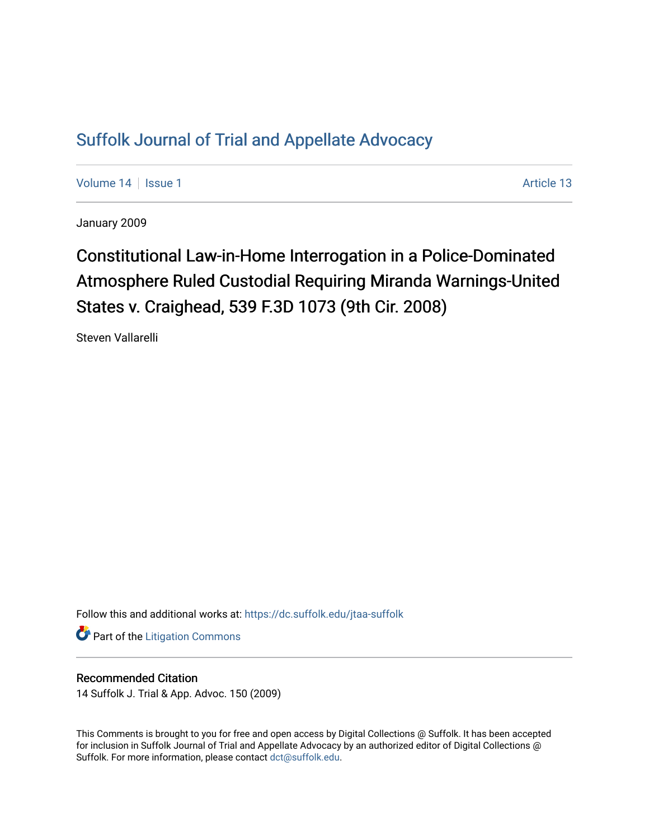## [Suffolk Journal of Trial and Appellate Advocacy](https://dc.suffolk.edu/jtaa-suffolk)

[Volume 14](https://dc.suffolk.edu/jtaa-suffolk/vol14) | [Issue 1](https://dc.suffolk.edu/jtaa-suffolk/vol14/iss1) Article 13

January 2009

## Constitutional Law-in-Home Interrogation in a Police-Dominated Atmosphere Ruled Custodial Requiring Miranda Warnings-United States v. Craighead, 539 F.3D 1073 (9th Cir. 2008)

Steven Vallarelli

Follow this and additional works at: [https://dc.suffolk.edu/jtaa-suffolk](https://dc.suffolk.edu/jtaa-suffolk?utm_source=dc.suffolk.edu%2Fjtaa-suffolk%2Fvol14%2Fiss1%2F13&utm_medium=PDF&utm_campaign=PDFCoverPages) 

**Part of the [Litigation Commons](http://network.bepress.com/hgg/discipline/910?utm_source=dc.suffolk.edu%2Fjtaa-suffolk%2Fvol14%2Fiss1%2F13&utm_medium=PDF&utm_campaign=PDFCoverPages)** 

## Recommended Citation

14 Suffolk J. Trial & App. Advoc. 150 (2009)

This Comments is brought to you for free and open access by Digital Collections @ Suffolk. It has been accepted for inclusion in Suffolk Journal of Trial and Appellate Advocacy by an authorized editor of Digital Collections @ Suffolk. For more information, please contact [dct@suffolk.edu.](mailto:dct@suffolk.edu)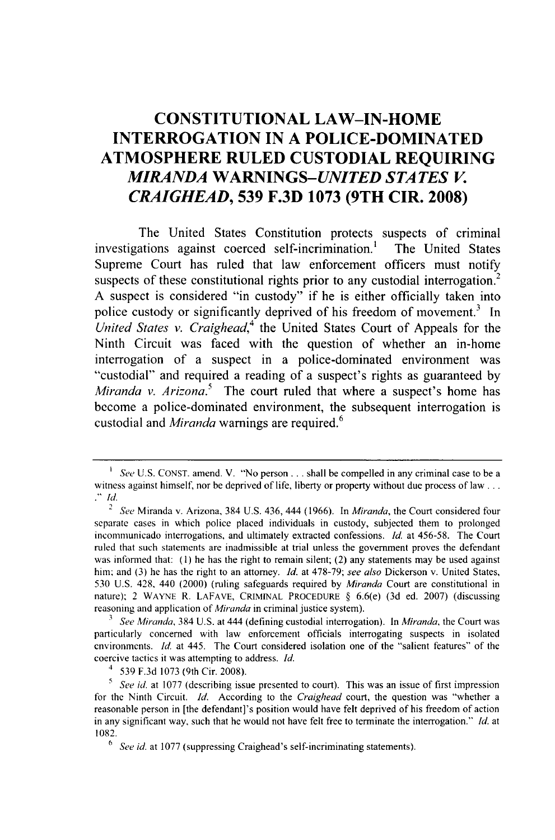## **CONSTITUTIONAL LAW-IN-HOME INTERROGATION IN A POLICE-DOMINATED ATMOSPHERE RULED CUSTODIAL REQUIRING** *MIRANDA WARNINGS-UNITED STATES V. CRAIGHEAD,* **539 F.3D 1073 (9TH CIR. 2008)**

The United States Constitution protects suspects of criminal investigations against coerced self-incrimination.' The United States Supreme Court has ruled that law enforcement officers must notify suspects of these constitutional rights prior to any custodial interrogation.<sup>2</sup> **A** suspect is considered "in custody" if he is either officially taken into police custody or significantly deprived of his freedom of movement.<sup>3</sup> In *United States v. Craighead*<sup>4</sup>, the United States Court of Appeals for the Ninth Circuit was faced with the question of whether an in-home interrogation of a suspect in a police-dominated environment was "custodial" and required a reading of a suspect's rights as guaranteed **by** *Miranda v. Arizona.*<sup>5</sup> The court ruled that where a suspect's home has become a police-dominated environment, the subsequent interrogation is custodial and *Miranda* warnings are required.<sup>6</sup>

**<sup>3</sup>***See Miranda,* 384 U.S. at 444 (defining custodial interrogation). In *Miranda,* the Court was particularly concerned with law enforcement officials interrogating suspects in isolated environments. *Id.* at 445. The Court considered isolation one of the "salient features" of the coercive tactics it was attempting to address. *Id.*

**4** 539 F.3d 1073 (9th Cir. 2008).

<sup>&</sup>lt;sup>1</sup> See U.S. CONST. amend. V. "No person . . . shall be compelled in any criminal case to be a witness against himself, nor be deprived of life, liberty or property without due process of law  $\dots$ *Id.* 

<sup>2</sup> *See* Miranda v. Arizona, 384 U.S. 436, 444 (1966). In *Miranda,* the Court considered four separate cases in which police placed individuals in custody, subjected them to prolonged incommunicado interrogations, and ultimately extracted confessions. *Id.* at 456-58. The Court ruled that such statements are inadmissible at trial unless the government proves the defendant was informed that: **(1)** he has the right to remain silent; (2) any statements may be used against him; and (3) he has the right to an attorney. *Id.* at 478-79; *see also* Dickerson v. United States, 530 U.S. 428, 440 (2000) (ruling safeguards required by *Miranda* Court are constitutional in nature); 2 WAYNE R. LAFAVE, CRIMINAL PROCEDURE § 6.6(e) (3d ed. 2007) (discussing reasoning and application of *Miranda* in criminal justice system).

<sup>&</sup>lt;sup>5</sup> *See id.* at 1077 (describing issue presented to court). This was an issue of first impression for the Ninth Circuit. *Id.* According to the *Craighead* court, the question was "whether a reasonable person in [the defendant]'s position would have felt deprived of his freedom of action in any significant way, such that he would not have felt free to terminate the interrogation." *Id.* at 1082.

**<sup>6</sup>** *See id.* at 1077 (suppressing Craighead's self-incriminating statements).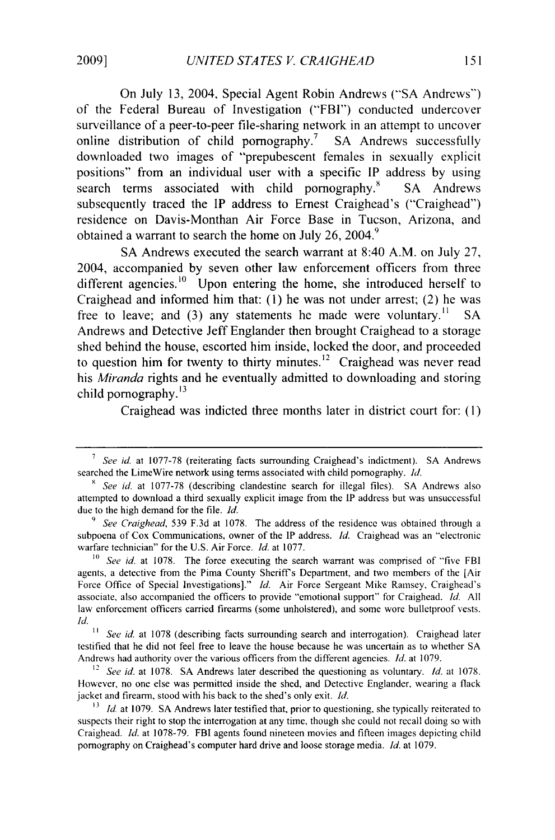On July 13, 2004, Special Agent Robin Andrews ("SA Andrews") of the Federal Bureau of Investigation ("FBI") conducted undercover surveillance of a peer-to-peer file-sharing network in an attempt to uncover online distribution of child pornography.<sup>7</sup> SA Andrews successfully downloaded two images of "prepubescent females in sexually explicit positions" from an individual user with a specific IP address by using<br>search terms associated with child pornography.<sup>8</sup> SA Andrews search terms associated with child pornography. $8$ subsequently traced the IP address to Ernest Craighead's ("Craighead") residence on Davis-Monthan Air Force Base in Tucson, Arizona, and obtained a warrant to search the home on July 26, 2004.<sup>9</sup>

SA Andrews executed the search warrant at 8:40 A.M. on July 27, 2004, accompanied by seven other law enforcement officers from three different agencies.<sup>10</sup> Upon entering the home, she introduced herself to Craighead and informed him that: (1) he was not under arrest; (2) he was free to leave; and (3) any statements he made were voluntary.<sup>11</sup> SA Andrews and Detective Jeff Englander then brought Craighead to a storage shed behind the house, escorted him inside, locked the door, and proceeded to question him for twenty to thirty minutes.<sup>12</sup> Craighead was never read his *Miranda* rights and he eventually admitted to downloading and storing child pornography.<sup>13</sup>

Craighead was indicted three months later in district court for: (1)

*<sup>7</sup>See id.* at 1077-78 (reiterating facts surrounding Craighead's indictment). SA Andrews searched the LimeWire network using terms associated with child pornography. *Id.*

*See id.* at 1077-78 (describing clandestine search for illegal files). SA Andrews also attempted to download a third sexually explicit image from the IP address but was unsuccessful due to the high demand for the file. *Id.*

<sup>&</sup>lt;sup>9</sup> See Craighead, 539 F.3d at 1078. The address of the residence was obtained through a subpoena of Cox Communications, owner of the IP address. *Id.* Craighead was an "electronic warfare technician" for the U.S. Air Force. *Id.* at 1077.

**<sup>10</sup>** *See id.* at 1078. The force executing the search warrant was comprised of "five FBI agents, a detective from the Pima County Sheriff's Department, and two members of the [Air Force Office of Special Investigations]." *Id.* Air Force Sergeant Mike Ramsey, Craighead's associate, also accompanied the officers to provide "emotional support" for Craighead. *Id.* All law enforcement officers carried firearms (some unholstered), and some wore bulletproof vests. *Id.*

*<sup>11</sup> See id.* at 1078 (describing facts surrounding search and interrogation). Craighead later testified that he did not feel free to leave the house because he was uncertain as to whether SA Andrews had authority over the various officers from the different agencies. *Id.* at 1079.

*<sup>12</sup> See id.* at 1078. SA Andrews later described the questioning as voluntary. *Id.* at 1078. However, no one else was permitted inside the shed, and Detective Englander, wearing a flack jacket and firearm, stood with his back to the shed's only exit. *Id.*

<sup>&</sup>lt;sup>13</sup> *Id.* at 1079. SA Andrews later testified that, prior to questioning, she typically reiterated to suspects their right to stop the interrogation at any time, though she could not recall doing so with Craighead. *Id.* at 1078-79. FBI agents found nineteen movies and fifteen images depicting child pornography on Craighead's computer hard drive and loose storage media. *Id.* at 1079.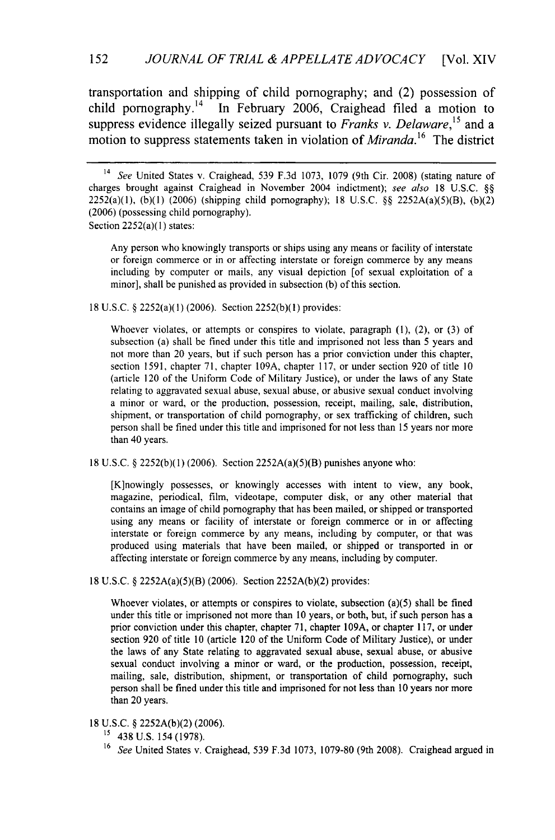transportation and shipping of child pornography; and (2) possession of child pornography.<sup>14</sup> In February 2006, Craighead filed a motion to suppress evidence illegally seized pursuant to *Franks v. Delaware*,<sup>15</sup> and a motion to suppress statements taken in violation of *Miranda*.<sup>16</sup> The district

Any person who knowingly transports or ships using any means or facility of interstate or foreign commerce or in or affecting interstate or foreign commerce by any means including by computer or mails, any visual depiction [of sexual exploitation of a minor], shall be punished as provided in subsection (b) of this section.

18 U.S.C. § 2252(a)(1) (2006). Section 2252(b)(1) provides:

Whoever violates, or attempts or conspires to violate, paragraph (1), (2), or (3) of subsection (a) shall be fined under this title and imprisoned not less than 5 years and not more than 20 years, but if such person has a prior conviction under this chapter, section 1591, chapter 71, chapter 109A, chapter 117, or under section 920 of title 10 (article 120 of the Uniform Code of Military Justice), or under the laws of any State relating to aggravated sexual abuse, sexual abuse, or abusive sexual conduct involving a minor or ward, or the production, possession, receipt, mailing, sale, distribution, shipment, or transportation of child pornography, or sex trafficking of children, such person shall be fined under this title and imprisoned for not less than 15 years nor more than 40 years.

18 U.S.C. § 2252(b)(1) (2006). Section 2252A(a)(5)(B) punishes anyone who:

[K]nowingly possesses, or knowingly accesses with intent to view, any book, magazine, periodical, film, videotape, computer disk, or any other material that contains an image of child pornography that has been mailed, or shipped or transported using any means or facility of interstate or foreign commerce or in or affecting interstate or foreign commerce by any means, including by computer, or that was produced using materials that have been mailed, or shipped or transported in or affecting interstate or foreign commerce by any means, including by computer.

18 U.S.C. § 2252A(a)(5)(B) (2006). Section 2252A(b)(2) provides:

Whoever violates, or attempts or conspires to violate, subsection (a)(5) shall be fined under this title or imprisoned not more than 10 years, or both, but, if such person has a prior conviction under this chapter, chapter 71, chapter 109A, or chapter 117, or under section 920 of title 10 (article 120 of the Uniform Code of Military Justice), or under the laws of any State relating to aggravated sexual abuse, sexual abuse, or abusive sexual conduct involving a minor or ward, or the production, possession, receipt, mailing, sale, distribution, shipment, or transportation of child pornography, such person shall be fined under this title and imprisoned for not less than 10 years nor more than 20 years.

18 U.S.C. § 2252A(b)(2) (2006).

**"5** 438 U.S. 154 (1978).

*16* See United States v. Craighead, 539 F.3d 1073, 1079-80 (9th 2008). Craighead argued in

<sup>&</sup>lt;sup>14</sup> See United States v. Craighead, 539 F.3d 1073, 1079 (9th Cir. 2008) (stating nature of charges brought against Craighead in November 2004 indictment); see also 18 U.S.C. §§  $2252(a)(1)$ , (b)(1) (2006) (shipping child pornography); 18 U.S.C. §§ 2252A(a)(5)(B), (b)(2) (2006) (possessing child pornography). Section 2252(a)(1) states: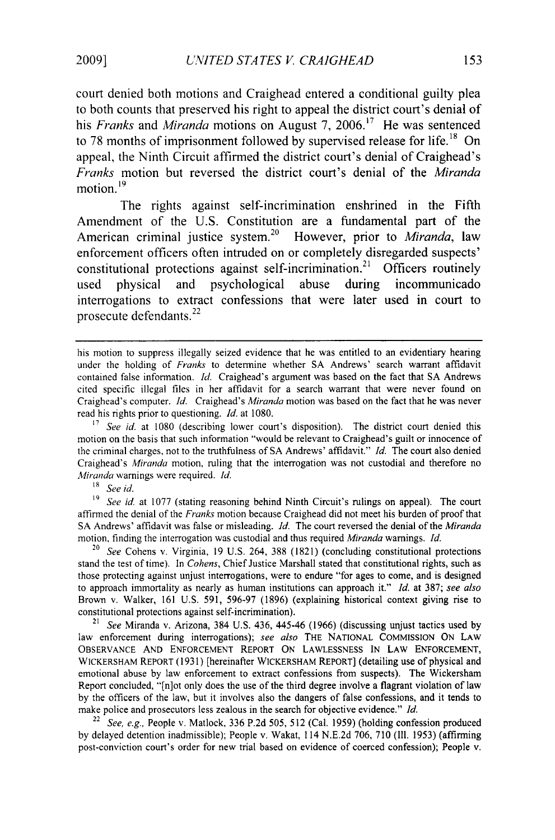court denied both motions and Craighead entered a conditional guilty plea to both counts that preserved his right to appeal the district court's denial of his *Franks* and *Miranda* motions on August 7, 2006.17 He was sentenced to 78 months of imprisonment followed by supervised release for life.<sup>18</sup> On appeal, the Ninth Circuit affirmed the district court's denial of Craighead's *Franks* motion but reversed the district court's denial of the *Miranda* motion<sup>19</sup>

The rights against self-incrimination enshrined in the Fifth Amendment of the U.S. Constitution are a fundamental part of the American criminal justice system.<sup>20</sup> However, prior to *Miranda*, law enforcement officers often intruded on or completely disregarded suspects' constitutional protections against self-incrimination.<sup>21</sup> Officers routinely used physical and psychological abuse during incommunicado interrogations to extract confessions that were later used in court to prosecute defendants.<sup>22</sup>

**18** *See id.*

<sup>19</sup> *See id.* at 1077 (stating reasoning behind Ninth Circuit's rulings on appeal). The court affirmed the denial of the *Franks* motion because Craighead did not meet his burden of proof that SA Andrews' affidavit was false or misleading. *Id.* The court reversed the denial of the *Miranda* motion, finding the interrogation was custodial and thus required *Miranda* warnings. *Id.*

<sup>20</sup>*See* Cohens v. Virginia, 19 U.S. 264, 388 (1821) (concluding constitutional protections stand the test of time). In *Cohens,* Chief Justice Marshall stated that constitutional rights, such as those protecting against unjust interrogations, were to endure "for ages to come, and is designed to approach immortality as nearly as human institutions can approach it." *Id.* at 387; *see also* Brown v. Walker, 161 U.S. 591, 596-97 (1896) (explaining historical context giving rise to constitutional protections against self-incrimination).

21 *See* Miranda v. Arizona, 384 U.S. 436, 445-46 (1966) (discussing unjust tactics used by law enforcement during interrogations); *see also* THE NATIONAL COMMISSION ON LAW OBSERVANCE AND ENFORCEMENT REPORT ON LAWLESSNESS IN LAW ENFORCEMENT, WICKERSHAM REPORT (1931) [hereinafter WICKERSHAM REPORT] (detailing use of physical and emotional abuse by law enforcement to extract confessions from suspects). The Wickersham Report concluded, "[n]ot only does the use of the third degree involve a flagrant violation of law by the officers of the law, but it involves also the dangers of false confessions, and it tends to make police and prosecutors less zealous in the search for objective evidence." *Id.*

22 *See, e.g.,* People v. Matlock, 336 P.2d 505, 512 (Cal. 1959) (holding confession produced by delayed detention inadmissible); People v. Wakat, 114 N.E.2d 706, 710 (Ill. 1953) (affirming post-conviction court's order for new trial based on evidence of coerced confession); People v.

his motion to suppress illegally seized evidence that he was entitled to an evidentiary hearing under the holding of *Franks* to determine whether SA Andrews' search warrant affidavit contained false information. *Id.* Craighead's argument was based on the fact that SA Andrews cited specific illegal files in her affidavit for a search warrant that were never found on Craighead's computer. *Id.* Craighead's *Miranda* motion was based on the fact that he was never read his rights prior to questioning. *Id.* at 1080.

<sup>&</sup>lt;sup>17</sup> *See id.* at 1080 (describing lower court's disposition). The district court denied this motion on the basis that such information "would be relevant to Craighead's guilt or innocence of the criminal charges, not to the truthfulness of SA Andrews' affidavit." *Id.* The court also denied Craighead's *Miranda* motion, ruling that the interrogation was not custodial and therefore no *Miranda* warnings were required. *Id.*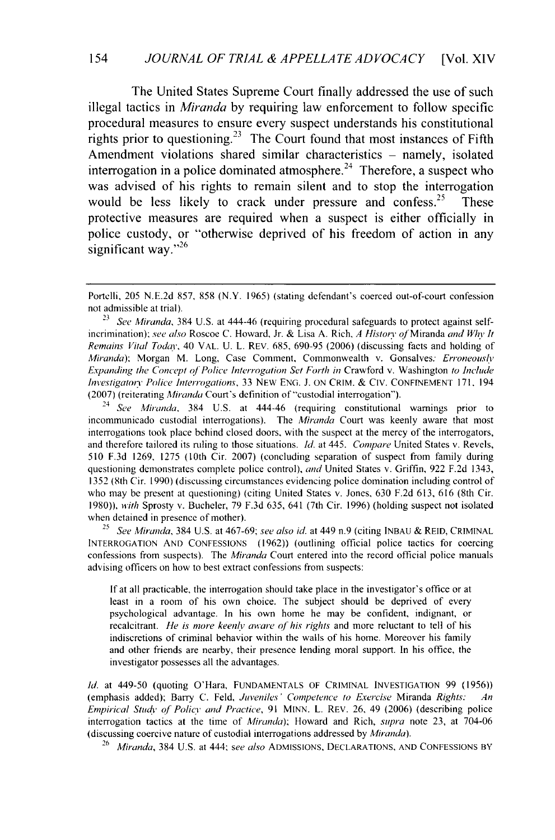The United States Supreme Court finally addressed the use of such illegal tactics in *Miranda* by requiring law enforcement to follow specific procedural measures to ensure every suspect understands his constitutional rights prior to questioning.<sup>23</sup> The Court found that most instances of Fifth Amendment violations shared similar characteristics **-** namely, isolated interrogation in a police dominated atmosphere.<sup>24</sup> Therefore, a suspect who was advised of his rights to remain silent and to stop the interrogation would be less likely to crack under pressure and confess.<sup>25</sup> These protective measures are required when a suspect is either officially in police custody, or "otherwise deprived of his freedom of action in any significant way."<sup>26</sup>

<sup>24</sup> See Miranda, 384 U.S. at 444-46 (requiring constitutional warnings prior to incommunicado custodial interrogations). The *Miranda* Court was keenly aware that most interrogations took place behind closed doors, with the suspect at the mercy of the interrogators, and therefore tailored its niling to those situations. *Id.* at 445. *Compare* United States v. Revels, 510 F.3d 1269, 1275 (10th Cir. 2007) (concluding separation of suspect from family during questioning demonstrates complete police control), and United States v. Griffin, 922 F.2d 1343, 1352 (8th Cir. 1990) (discussing circumstances evidencing police domination including control of who may be present at questioning) (citing United States v. Jones, 630 F.2d 613, 616 (8th Cir. 1980)), *with* Sprosty v. Bucheler, 79 F.3d 635, 641 (7th Cir. 1996) (holding suspect not isolated when detained in presence of mother).

**25** *See Miranda,* 384 U.S. at 467-69; *see also id.* at 449 n.9 (citing INBAU **&** REID, CRIMINAL INTERROGATION AND **CONFESSIONS** (1962)) (outlining official police tactics for coercing confessions from suspects). The *Miranda* Court entered into the record official police manuals advising officers on how to best extract confessions from suspects:

If at all practicable, the interrogation should take place in the investigator's office or at least in a room of his own choice. The subject should be deprived of every psychological advantage. In his own home he may be confident, indignant, or recalcitrant. *He is more keenly aware of his rights* and more reluctant to tell of his indiscretions of criminal behavior within the walls of his home. Moreover his family and other friends are nearby, their presence lending moral support. In his office, the investigator possesses all the advantages.

*Id.* at 449-50 (quoting O'Hara, FUNDAMENTALS OF CRIMINAL INVESTIGATION 99 (1956)) (emphasis added); Barry C. Feld, *Juveniles' Competence to Exercise* Miranda *Rights: An Empirical Study* **of** *Polic' and Practice,* 91 MINN. L. REV. 26, 49 (2006) (describing police interrogation tactics at the time of *Miranda);* Howard and Rich, supra note 23, at 704-06 (discussing coercive nature of custodial interrogations addressed by *Miranda).*

**<sup>26</sup>***Miranda,* 384 U.S. at 444; *see also* **ADMISSIONS.** DECLARATIONS, AND CONFESSIONS BY

Portelli, 205 N.E.2d 857, 858 (N.Y. 1965) (stating defendant's coerced out-of-court confession not admissible at trial).

**<sup>23</sup>** See *Miranda,* 384 U.S. at 444-46 (requiring procedural safeguards to protect against selfincrimination); *see also* Roscoe C. Howard, Jr. & Lisa A. Rich, *A Histori,* of Miranda *and Why It Remains Vital Today,* 40 VAL. U. L. REV. 685, 690-95 (2006) (discussing facts and holding of *Miranda);* Morgan M. Long, Case Comment, Commonwealth v. Gonsalves: *Erroneousl Expanding* the Concept *of* Police *Interrogation Set* Forth *in* Crawford v. Washington *to Include* Investigatory Police Interrogations, 33 NEW ENG. J. ON CRIM. & CIV. CONFINEMENT 171, 194 (2007) (reiterating Miranda Court's definition of "custodial interrogation").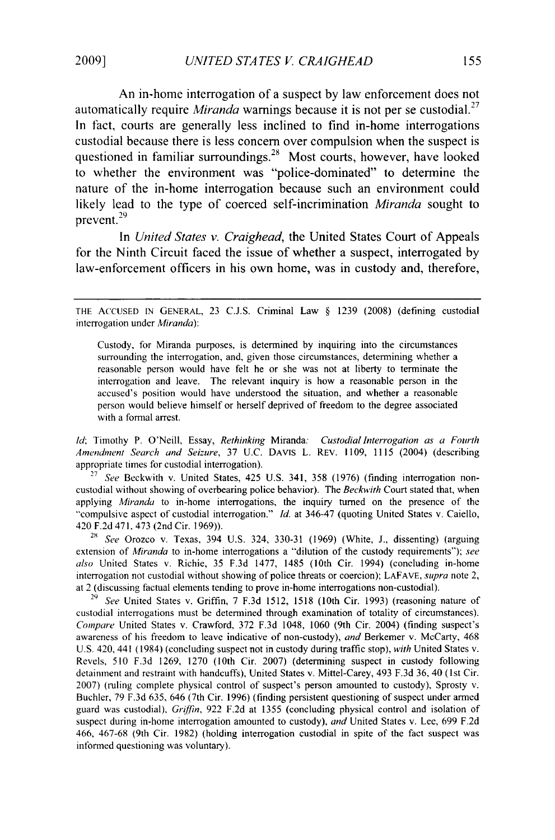An in-home interrogation of a suspect by law enforcement does not automatically require *Miranda* warnings because it is not per se custodial.<sup>27</sup> In fact, courts are generally less inclined to find in-home interrogations custodial because there is less concern over compulsion when the suspect is questioned in familiar surroundings.<sup>28</sup> Most courts, however, have looked to whether the environment was "police-dominated" to determine the nature of the in-home interrogation because such an environment could likely lead to the type of coerced self-incrimination *Miranda* sought to prevent.<sup>29</sup>

In *United States v. Craighead,* the United States Court of Appeals for the Ninth Circuit faced the issue of whether a suspect, interrogated by law-enforcement officers in his own home, was in custody and, therefore,

Custody, for Miranda purposes, is determined by inquiring into the circumstances surrounding the interrogation, and, given those circumstances, determining whether a reasonable person would have felt he or she was not at liberty to terminate the interrogation and leave. The relevant inquiry is how a reasonable person in the accused's position would have understood the situation, and whether a reasonable person would believe himself or herself deprived of freedom to the degree associated with a formal arrest.

*id;* Timothy P. O'Neill, Essay, *Rethinking* Miranda: *Custodial Interrogation as a Fourth Amendment Search and Seizure,* 37 U.C. DAVIS L. REV. 1109, 1115 (2004) (describing appropriate times for custodial interrogation).

**27** *See* Beckwith v. United States, 425 U.S. 341, 358 (1976) (finding interrogation noncustodial without showing of overbearing police behavior). The *Beckwith* Court stated that, when applying *Miranda* to in-home interrogations, the inquiry turned on the presence of the \*compulsive aspect of custodial interrogation." *Id.* at 346-47 (quoting United States v. Caiello, 420 F.2d 471, 473 (2nd Cir. 1969)).

<sup>25</sup>*See* Orozco v. Texas, 394 U.S. 324, 330-31 (1969) (White, J., dissenting) (arguing extension of *Miranda* to in-home interrogations a "dilution of the custody requirements"); *see also* United States v. Richie, 35 F.3d 1477, 1485 (10th Cir. 1994) (concluding in-home interrogation not custodial without showing of police threats or coercion); LAFAVE, *supra* note 2, at 2 (discussing factual elements tending to prove in-home interrogations non-custodial).

**29** *See* United States v. Griffin, 7 F.3d 1512, 1518 (10th Cir. 1993) (reasoning nature of custodial interrogations must be determined through examination of totality of circumstances). *Compare* United States v. Crawford, 372 F.3d 1048, 1060 (9th Cir. 2004) (finding suspect's awareness of his freedom to leave indicative of non-custody), *and* Berkemer v. McCarty, 468 U.S. 420, 441 (1984) (concluding suspect not in custody during traffic stop), *with* United States v. Revels, 510 F.3d 1269, 1270 (10th Cir. 2007) (determining suspect in custody following detainment and restraint with handcuffs), United States v. Mittel-Carey, 493 F.3d 36, 40 (1st Cir. 2007) (ruling complete physical control of suspect's person amounted to custody), Sprosty v. Buchler, 79 F.3d 635, 646 (7th Cir. 1996) (finding persistent questioning of suspect under armed guard was custodial), *Griffin,* 922 F.2d at 1355 (concluding physical control and isolation of suspect during in-home interrogation amounted to custody), *and* United States v. Lee, 699 F.2d 466, 467-68 (9th Cir. 1982) (holding interrogation custodial in spite of the fact suspect was informed questioning was voluntary).

THE ACCUSED IN GENERAL, 23 C.J.S. Criminal Law § 1239 (2008) (defining custodial interrogation under *Miranda):*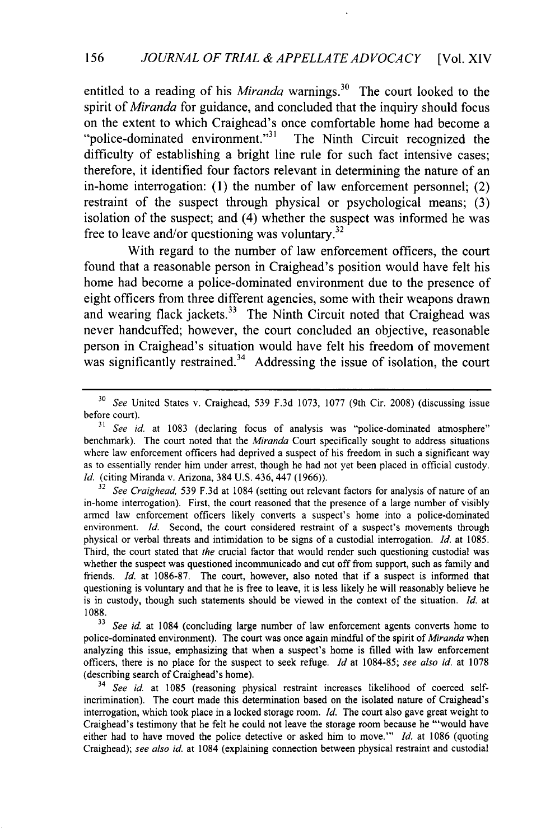entitled to a reading of his *Miranda* warnings.<sup>30</sup> The court looked to the spirit of *Miranda* for guidance, and concluded that the inquiry should focus on the extent to which Craighead's once comfortable home had become a "police-dominated environment."<sup>31</sup> The Ninth Circuit recognized the "police-dominated environment."<sup>31</sup> difficulty of establishing a bright line rule for such fact intensive cases: therefore, it identified four factors relevant in determining the nature of an in-home interrogation: (1) the number of law enforcement personnel; (2) restraint of the suspect through physical or psychological means; (3) isolation of the suspect; and (4) whether the suspect was informed he was free to leave and/or questioning was voluntary. <sup>32</sup>

With regard to the number of law enforcement officers, the court found that a reasonable person in Craighead's position would have felt his home had become a police-dominated environment due to the presence of eight officers from three different agencies, some with their weapons drawn and wearing flack jackets.<sup>33</sup> The Ninth Circuit noted that Craighead was never handcuffed; however, the court concluded an objective, reasonable person in Craighead's situation would have felt his freedom of movement was significantly restrained.<sup>34</sup> Addressing the issue of isolation, the court

See id. at 1084 (concluding large number of law enforcement agents converts home to police-dominated environment). The court was once again mindful of the spirit of *Miranda* when analyzing this issue, emphasizing that when a suspect's home is filled with law enforcement officers, there is no place for the suspect to seek refuge. *Id* at 1084-85; *see also id.* at 1078 (describing search of Craighead's home).

**34** *See id* at 1085 (reasoning physical restraint increases likelihood of coerced selfincrimination). The court made this determination based on the isolated nature of Craighead's interrogation, which took place in a locked storage room. *Id.* The court also gave great weight to Craighead's testimony that he felt he could not leave the storage room because he "'would have either had to have moved the police detective or asked him to move."' *Id.* at 1086 (quoting Craighead); *see also id.* at 1084 (explaining connection between physical restraint and custodial

<sup>30</sup>*See* United States v. Craighead, 539 F.3d 1073, 1077 (9th Cir. 2008) (discussing issue before court).

<sup>&</sup>lt;sup>31</sup> See id. at 1083 (declaring focus of analysis was "police-dominated atmosphere" benchmark). The court noted that the *Miranda* Court specifically sought to address situations where law enforcement officers had deprived a suspect of his freedom in such a significant way as to essentially render him under arrest, though he had not yet been placed in official custody. *Id.* (citing Miranda v. Arizona, 384 U.S. 436, 447 (1966)).

**<sup>32</sup>***See Craighead,* 539 F.3d at 1084 (setting out relevant factors for analysis of nature of an in-home interrogation). First, the court reasoned that the presence of a large number of visibly armed law enforcement officers likely converts a suspect's home into a police-dominated environment. *Id.* Second, the court considered restraint of a suspect's movements through physical or verbal threats and intimidation to be signs of a custodial interrogation. *Id.* at 1085. Third, the court stated that *the* crucial factor that would render such questioning custodial was whether the suspect was questioned incommunicado and cut off from support, such as family and friends. *Id.* at 1086-87. The court, however, also noted that if a suspect is informed that questioning is voluntary and that he is free to leave, it is less likely he will reasonably believe he is in custody, though such statements should be viewed in the context of the situation. *Id.* at 1088.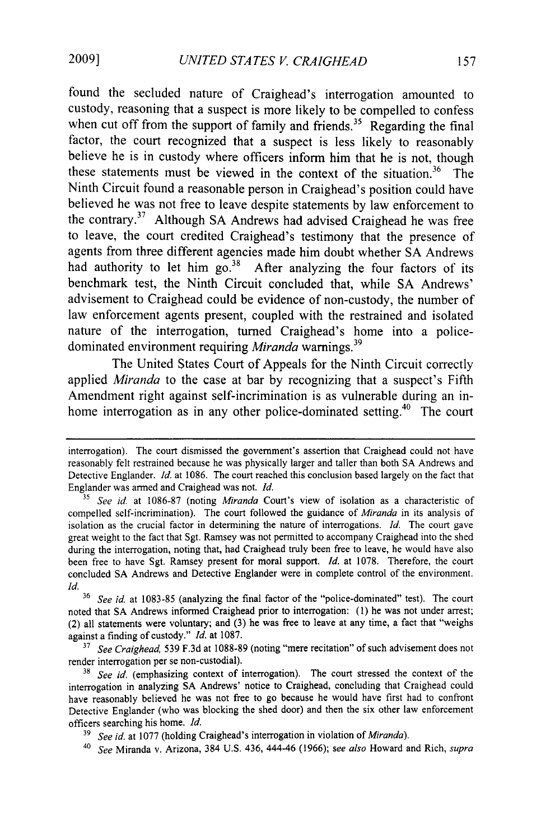found the secluded nature of Craighead's interrogation amounted to custody, reasoning that a suspect is more likely to be compelled to confess when cut off from the support of family and friends.<sup>35</sup> Regarding the final factor, the court recognized that a suspect is less likely to reasonably believe he is in custody where officers inform him that he is not, though these statements must be viewed in the context of the situation.<sup>36</sup> The Ninth Circuit found a reasonable person in Craighead's position could have believed he was not free to leave despite statements by law enforcement to the contrary.37 Although SA Andrews had advised Craighead he was free to leave, the court credited Craighead's testimony that the presence of agents from three different agencies made him doubt whether SA Andrews had authority to let him  $\overline{Q}$ <sup>38</sup> After analyzing the four factors of its benchmark test, the Ninth Circuit concluded that, while SA Andrews' advisement to Craighead could be evidence of non-custody, the number of law enforcement agents present, coupled with the restrained and isolated nature of the interrogation, turned Craighead's home into a policedominated environment requiring *Miranda* warnings.<sup>39</sup>

The United States Court of Appeals for the Ninth Circuit correctly applied *Miranda* to the case at bar by recognizing that a suspect's Fifth Amendment right against self-incrimination is as vulnerable during an inhome interrogation as in any other police-dominated setting.<sup>40</sup> The court

interrogation). The court dismissed the government's assertion that Craighead could not have reasonably felt restrained because he was physically larger and taller than both SA Andrews and Detective Englander. *Id.* at 1086. The court reached this conclusion based largely on the fact that Englander was armed and Craighead was not. *Id.*

*<sup>&</sup>quot; See id* at 1086-87 (noting *Miranda* Court's view of isolation as a characteristic of compelled self-incrimination). The court followed the guidance of *Miranda* in its analysis of isolation as the crucial factor in determining the nature of interrogations. *Id.* The court gave great weight to the fact that Sgt. Ramsey was not permitted to accompany Craighead into the shed during the interrogation, noting that, had Craighead truly been free to leave, he would have also been free to have Sgt. Ramsey present for moral support. *Id.* at 1078. Therefore, the court concluded SA Andrews and Detective Englander were in complete control of the environment. *Id.*

<sup>36</sup>*See id.* at 1083-85 (analyzing the final factor of the "police-dominated" test). The court noted that SA Andrews informed Craighead prior to interrogation: **(1)** he was not under arrest; (2) all statements were voluntary; and (3) he was free to leave at any time, a fact that "weighs against a finding of custody." *Id.* at 1087.

**<sup>37</sup>***See Craighead,* 539 F.3d at 1088-89 (noting "mere recitation" of such advisement does not render interrogation per se non-custodial).

<sup>&</sup>lt;sup>38</sup> *See id.* (emphasizing context of interrogation). The court stressed the context of the interrogation in analyzing SA Andrews' notice to Craighead, concluding that Craighead could have reasonably believed he was not free to go because he would have first had to confront Detective Englander (who was blocking the shed door) and then the six other law enforcement officers searching his home. *Id.*

*<sup>&</sup>quot; See id.* at 1077 (holding Craighead's interrogation in violation of *Miranda).*

*<sup>40</sup>See* Miranda v. Arizona, 384 U.S. 436, 444-46 (1966); *see also* Howard and Rich, *supra*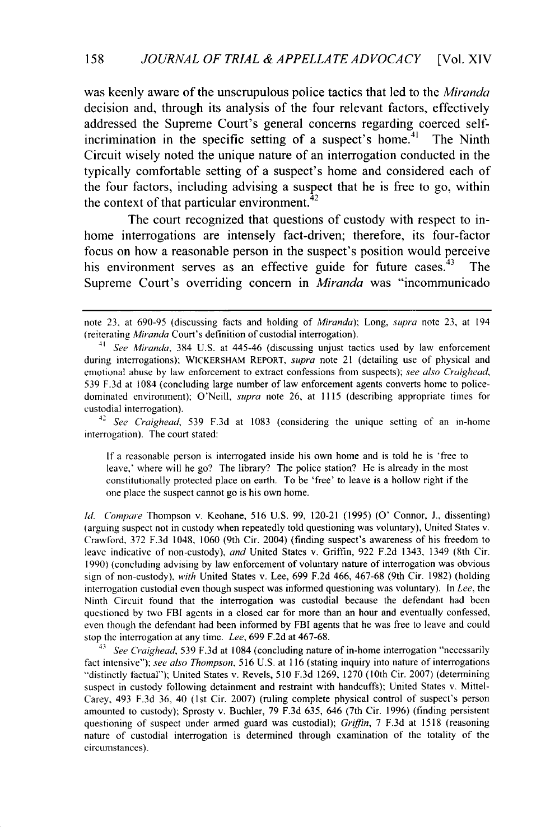was keenly aware of the unscrupulous police tactics that led to the *Miranda* decision and, through its analysis of the four relevant factors, effectively addressed the Supreme Court's general concerns regarding coerced selfincrimination in the specific setting of a suspect's home.<sup> $41$ </sup> The Ninth Circuit wisely noted the unique nature of an interrogation conducted in the typically comfortable setting of a suspect's home and considered each of the four factors, including advising a suspect that he is free to go, within the context of that particular environment. $42$ 

The court recognized that questions of custody with respect to inhome interrogations are intensely fact-driven; therefore, its four-factor focus on how a reasonable person in the suspect's position would perceive his environment serves as an effective guide for future cases.  $43$  The Supreme Court's overriding concern in *Miranda* was "incommunicado

*4. See Craighead,* 539 F.3d at 1083 (considering the unique setting of an in-home interrogation). The court stated:

If a reasonable person is interrogated inside his own home and is told he is 'free to leave,' where will he go? The library? The police station? He is already in the most constitutionally protected place on earth. To be 'free' to leave is a hollow right if the one place the suspect cannot go is his own home.

*hi.* Compare Thompson v. Keohane, 516 U.S. 99, 120-21 (1995) **(0'** Connor, J., dissenting) (arguing suspect not in custody when repeatedly told questioning was voluntary), United States v. Crawford, 372 F.3d 1048, 1060 (9th Cir. 2004) (finding suspect's awareness of his freedom to leave indicative of non-custody), *and* United States v. Griffin, 922 F.2d 1343, 1349 (8th Cir. 1990) (concluding advising by law enforcement of voluntary nature of interrogation was obvious sign of non-custody), *with* United States v. Lee, 699 F.2d 466, 467-68 (9th Cir. 1982) (holding interrogation custodial even though suspect was informed questioning was voluntary). In *Lee,* the Ninth Circuit found that the interrogation was custodial because the defendant had been questioned by two FBI agents in a closed car for more than an hour and eventually confessed, even though the defendant had been informed by FBI agents that he was free to leave and could stop the interrogation at any time. *Lee,* 699 F.2d at 467-68.

<sup>43</sup> See Craighead, 539 F.3d at 1084 (concluding nature of in-home interrogation "necessarily fact intensive"); *see also Thompson,* 516 U.S. at 116 (stating inquiry into nature of interrogations "distinctly factual"); United States v. Revels, 510 F.3d 1269, 1270 (10th Cir. 2007) (determining suspect in custody following detainment and restraint with handcuffs); United States v. Mittel-Carey, 493 F.3d 36, 40 (1st Cir. 2007) (ruling complete physical control of suspect's person amounted to custody); Sprosty v. Buehler, 79 F.3d 635, 646 (7th Cir. 1996) (finding persistent questioning of suspect under armed guard was custodial); *Griffin,* 7 F.3d at 1518 (reasoning nature of custodial interrogation is determined through examination of the totality of the circumstances).

note 23, at 690-95 (discussing facts and holding of *Miranda);* Long, *supra* note 23, at 194 (reiterating *Miranda* Court's definition of custodial interrogation).

<sup>41</sup> *See Miranda,* 384 U.S. at 445-46 (discussing unjust tactics used by law enforcement during interrogations); WICKERSHAM REPORT, *supra* note 21 (detailing use of physical and emotional abuse by law enforcement to extract confessions from suspects); *see also Craighead,* 539 F.3d at 1084 (concluding large number of law enforcement agents converts home to policedominated environment); O'Neill, *supra* note 26, at 1115 (describing appropriate times for custodial interrogation).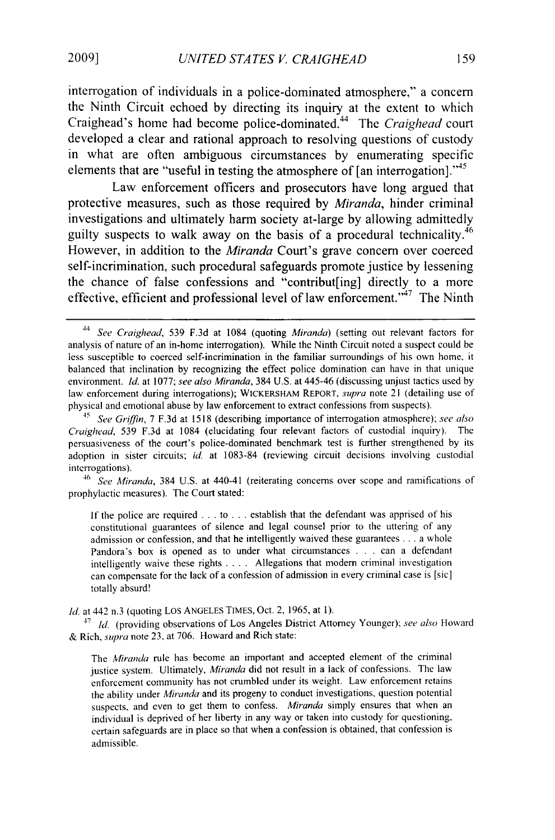interrogation of individuals in a police-dominated atmosphere," a concern the Ninth Circuit echoed by directing its inquiry at the extent to which Craighead's home had become police-dominated.<sup>44</sup>The *Craighead* court developed a clear and rational approach to resolving questions of custody in what are often ambiguous circumstances by enumerating specific elements that are "useful in testing the atmosphere of [an interrogation]."<sup>45</sup>

Law enforcement officers and prosecutors have long argued that protective measures, such as those required by *Miranda,* hinder criminal investigations and ultimately harm society at-large by allowing admittedly guilty suspects to walk away on the basis of a procedural technicality.<sup>46</sup> However, in addition to the *Miranda* Court's grave concern over coerced self-incrimination, such procedural safeguards promote justice by lessening the chance of false confessions and "contribut[ing] directly to a more effective, efficient and professional level of law enforcement." $47$  The Ninth

<sup>46</sup>*See Miranda,* 384 U.S. at 440-41 (reiterating concerns over scope and ramifications of prophylactic measures). The Court stated:

If the police are required  $\dots$  to  $\dots$  establish that the defendant was apprised of his constitutional guarantees of silence and legal counsel prior to the uttering of any admission or confession, and that he intelligently waived these guarantees **...** a whole Pandora's box is opened as to under what circumstances . . . can a defendant intelligently waive these rights .**. .** . Allegations that modem criminal investigation can compensate for the lack of a confession of admission in every criminal case is [sic] totally absurd!

*Id.* at 442 n.3 (quoting LOS ANGELES TIMES, Oct. 2, 1965, at 1).

47 *Id.* (providing observations of Los Angeles District Attorney Younger); *see also* Howard & Rich, *supra* note 23, at 706. Howard and Rich state:

The *Miranda* rule has become an important and accepted element of the criminal justice system. Ultimately, *Miranda* did not result in a lack of confessions. The law enforcement community has not crumbled under its weight. Law enforcement retains the ability under *Miranda* and its progeny to conduct investigations, question potential suspects, and even to get them to confess. *Miranda* simply ensures that when an individual is deprived of her liberty in any way or taken into custody for questioning, certain safeguards are in place so that when a confession is obtained, that confession is admissible.

<sup>44</sup>*See Craighead,* 539 F.3d at 1084 (quoting *Miranda)* (setting out relevant factors for analysis of nature of an in-home interrogation). While the Ninth Circuit noted a suspect could be less susceptible to coerced self-incrimination in the familiar surroundings of his own home, it balanced that inclination by recognizing the effect police domination can have in that unique environment. *Id.* at 1077; *see also Miranda,* 384 U.S. at 445-46 (discussing unjust tactics used by law enforcement during interrogations); WICKERSHAM REPORT, *supra* note 21 (detailing use of physical and emotional abuse by law enforcement to extract confessions from suspects).

<sup>45</sup>*See Griffin,* 7 F.3d at 1518 (describing importance of interrogation atmosphere); *see also Craighead,* 539 F.3d at 1084 (elucidating four relevant factors of custodial inquiry). The persuasiveness of the court's police-dominated benchmark test is further strengthened by its adoption in sister circuits; *id.* at 1083-84 (reviewing circuit decisions involving custodial interrogations).